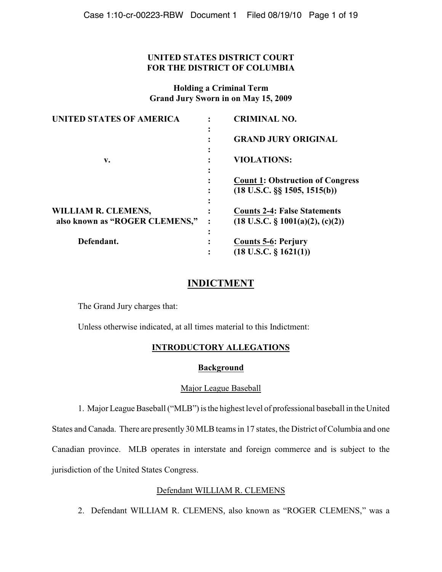### **UNITED STATES DISTRICT COURT FOR THE DISTRICT OF COLUMBIA**

**Holding a Criminal Term Grand Jury Sworn in on May 15, 2009**

| <b>UNITED STATES OF AMERICA</b> |           | <b>CRIMINAL NO.</b>                          |
|---------------------------------|-----------|----------------------------------------------|
|                                 | $\bullet$ | <b>GRAND JURY ORIGINAL</b>                   |
| v.                              | ٠<br>٠    | <b>VIOLATIONS:</b>                           |
|                                 | ٠<br>٠    | <b>Count 1: Obstruction of Congress</b>      |
|                                 |           | $(18 \text{ U.S.C.} \S \S 1505, 1515(b))$    |
| WILLIAM R. CLEMENS,             |           | <b>Counts 2-4: False Statements</b>          |
| also known as "ROGER CLEMENS,"  |           | $(18 \text{ U.S.C. } \S 1001(a)(2), (c)(2))$ |
| Defendant.                      | ٠         | <b>Counts 5-6: Perjury</b>                   |
|                                 |           | $(18$ U.S.C. § 1621(1))                      |

# **INDICTMENT**

The Grand Jury charges that:

Unless otherwise indicated, at all times material to this Indictment:

### **INTRODUCTORY ALLEGATIONS**

### **Background**

### Major League Baseball

1. Major League Baseball ("MLB") is the highest level of professional baseball in the United

States and Canada. There are presently 30 MLB teams in 17 states, the District of Columbia and one Canadian province. MLB operates in interstate and foreign commerce and is subject to the jurisdiction of the United States Congress.

# Defendant WILLIAM R. CLEMENS

2. Defendant WILLIAM R. CLEMENS, also known as "ROGER CLEMENS," was a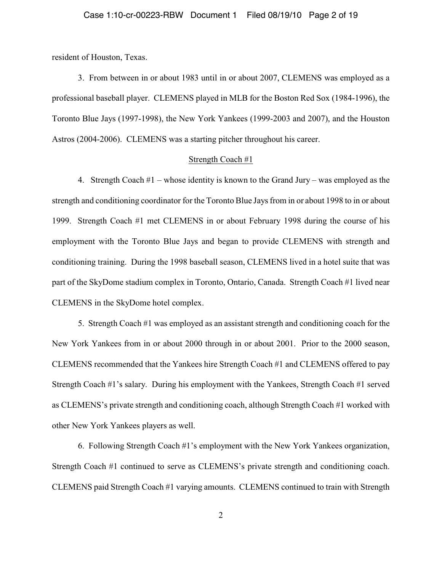resident of Houston, Texas.

3. From between in or about 1983 until in or about 2007, CLEMENS was employed as a professional baseball player. CLEMENS played in MLB for the Boston Red Sox (1984-1996), the Toronto Blue Jays (1997-1998), the New York Yankees (1999-2003 and 2007), and the Houston Astros (2004-2006). CLEMENS was a starting pitcher throughout his career.

#### Strength Coach #1

4. Strength Coach #1 – whose identity is known to the Grand Jury – was employed as the strength and conditioning coordinator for the Toronto Blue Jays from in or about 1998 to in or about 1999. Strength Coach #1 met CLEMENS in or about February 1998 during the course of his employment with the Toronto Blue Jays and began to provide CLEMENS with strength and conditioning training. During the 1998 baseball season, CLEMENS lived in a hotel suite that was part of the SkyDome stadium complex in Toronto, Ontario, Canada. Strength Coach #1 lived near CLEMENS in the SkyDome hotel complex.

5. Strength Coach #1 was employed as an assistant strength and conditioning coach for the New York Yankees from in or about 2000 through in or about 2001. Prior to the 2000 season, CLEMENS recommended that the Yankees hire Strength Coach #1 and CLEMENS offered to pay Strength Coach #1's salary. During his employment with the Yankees, Strength Coach #1 served as CLEMENS's private strength and conditioning coach, although Strength Coach #1 worked with other New York Yankees players as well.

6. Following Strength Coach #1's employment with the New York Yankees organization, Strength Coach #1 continued to serve as CLEMENS's private strength and conditioning coach. CLEMENS paid Strength Coach #1 varying amounts. CLEMENS continued to train with Strength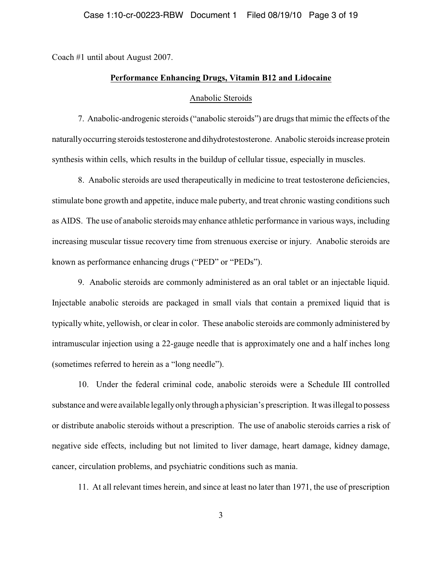Coach #1 until about August 2007.

#### **Performance Enhancing Drugs, Vitamin B12 and Lidocaine**

#### Anabolic Steroids

7. Anabolic-androgenic steroids ("anabolic steroids") are drugs that mimic the effects of the naturally occurring steroids testosterone and dihydrotestosterone. Anabolic steroids increase protein synthesis within cells, which results in the buildup of cellular tissue, especially in muscles.

8. Anabolic steroids are used therapeutically in medicine to treat testosterone deficiencies, stimulate bone growth and appetite, induce male puberty, and treat chronic wasting conditions such as AIDS. The use of anabolic steroids may enhance athletic performance in various ways, including increasing muscular tissue recovery time from strenuous exercise or injury. Anabolic steroids are known as performance enhancing drugs ("PED" or "PEDs").

9. Anabolic steroids are commonly administered as an oral tablet or an injectable liquid. Injectable anabolic steroids are packaged in small vials that contain a premixed liquid that is typically white, yellowish, or clear in color. These anabolic steroids are commonly administered by intramuscular injection using a 22-gauge needle that is approximately one and a half inches long (sometimes referred to herein as a "long needle").

10. Under the federal criminal code, anabolic steroids were a Schedule III controlled substance and were available legally only through a physician's prescription. It was illegal to possess or distribute anabolic steroids without a prescription. The use of anabolic steroids carries a risk of negative side effects, including but not limited to liver damage, heart damage, kidney damage, cancer, circulation problems, and psychiatric conditions such as mania.

11. At all relevant times herein, and since at least no later than 1971, the use of prescription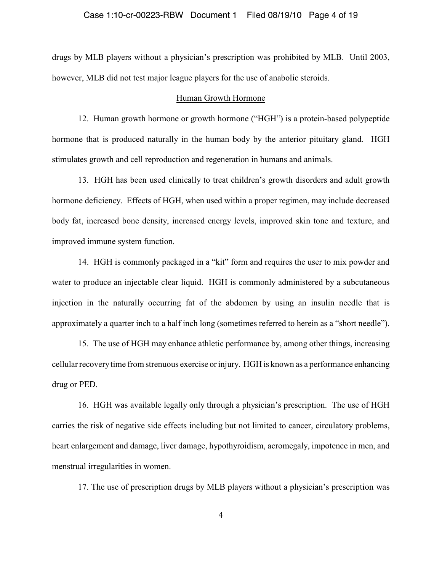#### Case 1:10-cr-00223-RBW Document 1 Filed 08/19/10 Page 4 of 19

drugs by MLB players without a physician's prescription was prohibited by MLB. Until 2003, however, MLB did not test major league players for the use of anabolic steroids.

#### Human Growth Hormone

12. Human growth hormone or growth hormone ("HGH") is a protein-based polypeptide hormone that is produced naturally in the human body by the anterior pituitary gland. HGH stimulates growth and cell reproduction and regeneration in humans and animals.

13. HGH has been used clinically to treat children's growth disorders and adult growth hormone deficiency. Effects of HGH, when used within a proper regimen, may include decreased body fat, increased bone density, increased energy levels, improved skin tone and texture, and improved immune system function.

14. HGH is commonly packaged in a "kit" form and requires the user to mix powder and water to produce an injectable clear liquid. HGH is commonly administered by a subcutaneous injection in the naturally occurring fat of the abdomen by using an insulin needle that is approximately a quarter inch to a half inch long (sometimes referred to herein as a "short needle").

15. The use of HGH may enhance athletic performance by, among other things, increasing cellular recovery time from strenuous exercise or injury. HGH is known as a performance enhancing drug or PED.

16. HGH was available legally only through a physician's prescription. The use of HGH carries the risk of negative side effects including but not limited to cancer, circulatory problems, heart enlargement and damage, liver damage, hypothyroidism, acromegaly, impotence in men, and menstrual irregularities in women.

17. The use of prescription drugs by MLB players without a physician's prescription was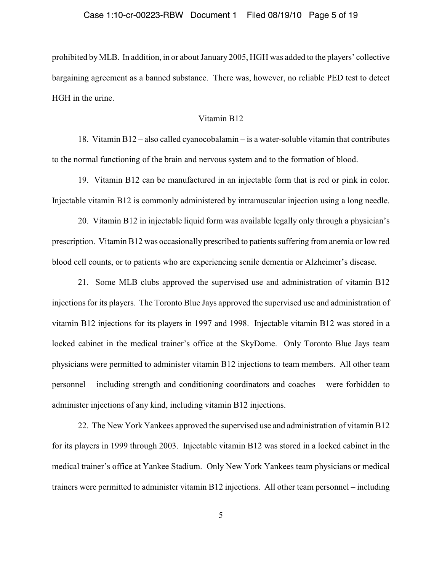prohibited by MLB. In addition, in or about January 2005, HGH was added to the players' collective bargaining agreement as a banned substance. There was, however, no reliable PED test to detect HGH in the urine.

#### Vitamin B12

18. Vitamin B12 – also called cyanocobalamin – is a water-soluble vitamin that contributes to the normal functioning of the brain and nervous system and to the formation of blood.

19. Vitamin B12 can be manufactured in an injectable form that is red or pink in color. Injectable vitamin B12 is commonly administered by intramuscular injection using a long needle.

20. Vitamin B12 in injectable liquid form was available legally only through a physician's prescription. Vitamin B12 was occasionally prescribed to patients suffering from anemia or low red blood cell counts, or to patients who are experiencing senile dementia or Alzheimer's disease.

21. Some MLB clubs approved the supervised use and administration of vitamin B12 injections for its players. The Toronto Blue Jays approved the supervised use and administration of vitamin B12 injections for its players in 1997 and 1998. Injectable vitamin B12 was stored in a locked cabinet in the medical trainer's office at the SkyDome. Only Toronto Blue Jays team physicians were permitted to administer vitamin B12 injections to team members. All other team personnel – including strength and conditioning coordinators and coaches – were forbidden to administer injections of any kind, including vitamin B12 injections.

22. The New York Yankees approved the supervised use and administration of vitamin B12 for its players in 1999 through 2003. Injectable vitamin B12 was stored in a locked cabinet in the medical trainer's office at Yankee Stadium. Only New York Yankees team physicians or medical trainers were permitted to administer vitamin B12 injections. All other team personnel – including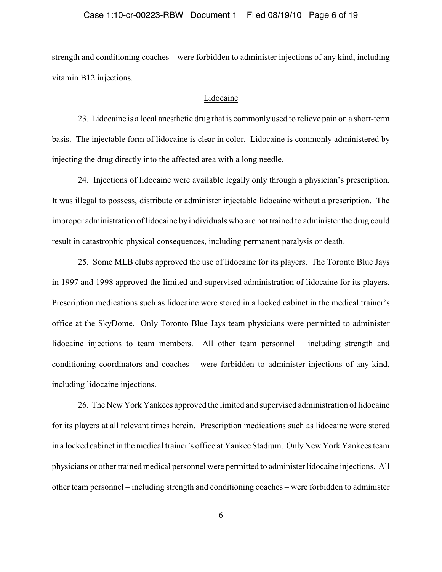#### Case 1:10-cr-00223-RBW Document 1 Filed 08/19/10 Page 6 of 19

strength and conditioning coaches – were forbidden to administer injections of any kind, including vitamin B12 injections.

#### Lidocaine

23. Lidocaine is a local anesthetic drug that is commonly used to relieve pain on a short-term basis. The injectable form of lidocaine is clear in color. Lidocaine is commonly administered by injecting the drug directly into the affected area with a long needle.

24. Injections of lidocaine were available legally only through a physician's prescription. It was illegal to possess, distribute or administer injectable lidocaine without a prescription. The improper administration of lidocaine by individuals who are not trained to administer the drug could result in catastrophic physical consequences, including permanent paralysis or death.

25. Some MLB clubs approved the use of lidocaine for its players. The Toronto Blue Jays in 1997 and 1998 approved the limited and supervised administration of lidocaine for its players. Prescription medications such as lidocaine were stored in a locked cabinet in the medical trainer's office at the SkyDome. Only Toronto Blue Jays team physicians were permitted to administer lidocaine injections to team members. All other team personnel – including strength and conditioning coordinators and coaches – were forbidden to administer injections of any kind, including lidocaine injections.

26. The New York Yankees approved the limited and supervised administration of lidocaine for its players at all relevant times herein. Prescription medications such as lidocaine were stored in a locked cabinet in the medical trainer's office at Yankee Stadium. OnlyNew York Yankees team physicians or other trained medical personnel were permitted to administer lidocaine injections. All other team personnel – including strength and conditioning coaches – were forbidden to administer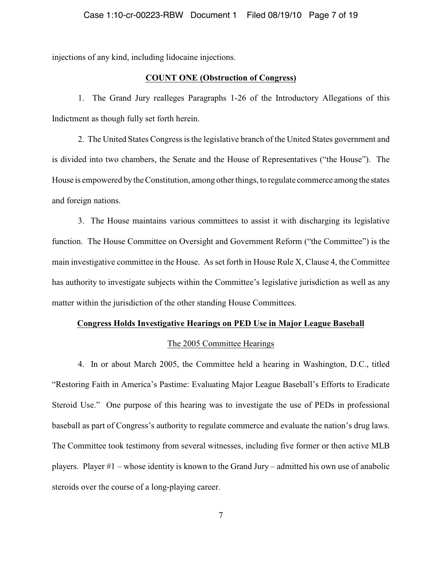injections of any kind, including lidocaine injections.

#### **COUNT ONE (Obstruction of Congress)**

1. The Grand Jury realleges Paragraphs 1-26 of the Introductory Allegations of this Indictment as though fully set forth herein.

2. The United States Congress is the legislative branch of the United States government and is divided into two chambers, the Senate and the House of Representatives ("the House"). The House is empowered by the Constitution, among other things, to regulate commerce among the states and foreign nations.

3. The House maintains various committees to assist it with discharging its legislative function. The House Committee on Oversight and Government Reform ("the Committee") is the main investigative committee in the House. As set forth in House Rule X, Clause 4, the Committee has authority to investigate subjects within the Committee's legislative jurisdiction as well as any matter within the jurisdiction of the other standing House Committees.

#### **Congress Holds Investigative Hearings on PED Use in Major League Baseball**

#### The 2005 Committee Hearings

4. In or about March 2005, the Committee held a hearing in Washington, D.C., titled "Restoring Faith in America's Pastime: Evaluating Major League Baseball's Efforts to Eradicate Steroid Use." One purpose of this hearing was to investigate the use of PEDs in professional baseball as part of Congress's authority to regulate commerce and evaluate the nation's drug laws. The Committee took testimony from several witnesses, including five former or then active MLB players. Player #1 – whose identity is known to the Grand Jury – admitted his own use of anabolic steroids over the course of a long-playing career.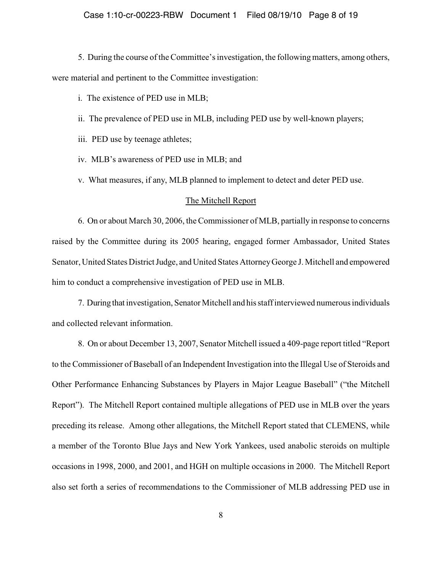5. During the course of the Committee'sinvestigation, the followingmatters, among others, were material and pertinent to the Committee investigation:

i. The existence of PED use in MLB;

ii. The prevalence of PED use in MLB, including PED use by well-known players;

iii. PED use by teenage athletes;

iv. MLB's awareness of PED use in MLB; and

v. What measures, if any, MLB planned to implement to detect and deter PED use.

#### The Mitchell Report

6. On or about March 30, 2006, the Commissioner of MLB, partially in response to concerns raised by the Committee during its 2005 hearing, engaged former Ambassador, United States Senator, United States District Judge, and United States Attorney George J. Mitchell and empowered him to conduct a comprehensive investigation of PED use in MLB.

7. During that investigation, Senator Mitchell and his staff interviewed numerous individuals and collected relevant information.

8. On or about December 13, 2007, Senator Mitchell issued a 409-page report titled "Report to the Commissioner of Baseball of an Independent Investigation into the Illegal Use of Steroids and Other Performance Enhancing Substances by Players in Major League Baseball" ("the Mitchell Report"). The Mitchell Report contained multiple allegations of PED use in MLB over the years preceding its release. Among other allegations, the Mitchell Report stated that CLEMENS, while a member of the Toronto Blue Jays and New York Yankees, used anabolic steroids on multiple occasions in 1998, 2000, and 2001, and HGH on multiple occasions in 2000. The Mitchell Report also set forth a series of recommendations to the Commissioner of MLB addressing PED use in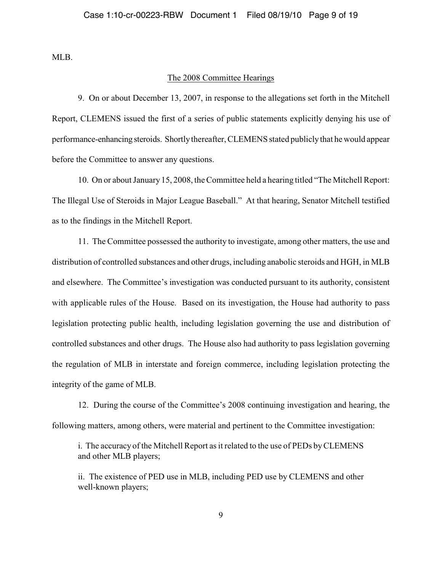MLB.

#### The 2008 Committee Hearings

9. On or about December 13, 2007, in response to the allegations set forth in the Mitchell Report, CLEMENS issued the first of a series of public statements explicitly denying his use of performance-enhancing steroids. Shortly thereafter, CLEMENS stated publicly that he would appear before the Committee to answer any questions.

10. On or about January 15, 2008, theCommittee held a hearing titled "The Mitchell Report: The Illegal Use of Steroids in Major League Baseball." At that hearing, Senator Mitchell testified as to the findings in the Mitchell Report.

11. The Committee possessed the authority to investigate, among other matters, the use and distribution of controlled substances and other drugs, including anabolic steroids and HGH, in MLB and elsewhere. The Committee's investigation was conducted pursuant to its authority, consistent with applicable rules of the House. Based on its investigation, the House had authority to pass legislation protecting public health, including legislation governing the use and distribution of controlled substances and other drugs. The House also had authority to pass legislation governing the regulation of MLB in interstate and foreign commerce, including legislation protecting the integrity of the game of MLB.

12. During the course of the Committee's 2008 continuing investigation and hearing, the following matters, among others, were material and pertinent to the Committee investigation:

i. The accuracy of the Mitchell Report as it related to the use of PEDs by CLEMENS and other MLB players;

ii. The existence of PED use in MLB, including PED use by CLEMENS and other well-known players;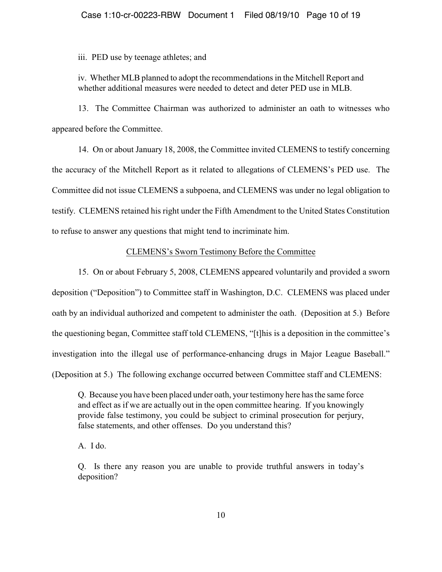iii. PED use by teenage athletes; and

iv. Whether MLB planned to adopt the recommendations in the Mitchell Report and whether additional measures were needed to detect and deter PED use in MLB.

13. The Committee Chairman was authorized to administer an oath to witnesses who appeared before the Committee.

14. On or about January 18, 2008, the Committee invited CLEMENS to testify concerning the accuracy of the Mitchell Report as it related to allegations of CLEMENS's PED use. The Committee did not issue CLEMENS a subpoena, and CLEMENS was under no legal obligation to testify. CLEMENS retained his right under the Fifth Amendment to the United States Constitution to refuse to answer any questions that might tend to incriminate him.

#### CLEMENS's Sworn Testimony Before the Committee

15. On or about February 5, 2008, CLEMENS appeared voluntarily and provided a sworn deposition ("Deposition") to Committee staff in Washington, D.C. CLEMENS was placed under oath by an individual authorized and competent to administer the oath. (Deposition at 5.) Before the questioning began, Committee staff told CLEMENS, "[t]his is a deposition in the committee's investigation into the illegal use of performance-enhancing drugs in Major League Baseball." (Deposition at 5.) The following exchange occurred between Committee staff and CLEMENS:

Q. Because you have been placed under oath, your testimony here has the same force and effect as if we are actually out in the open committee hearing. If you knowingly provide false testimony, you could be subject to criminal prosecution for perjury, false statements, and other offenses. Do you understand this?

A. I do.

Q. Is there any reason you are unable to provide truthful answers in today's deposition?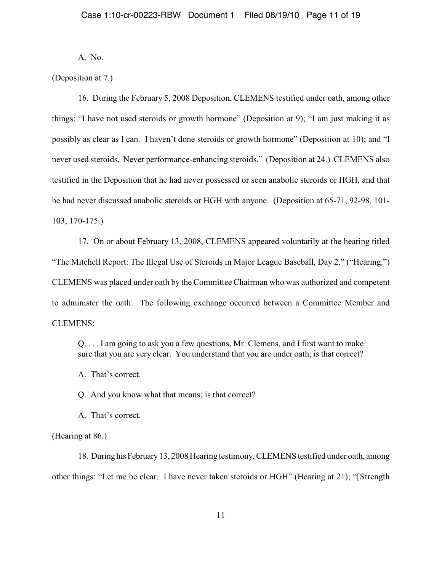A. No.

(Deposition at 7.)

16. During the February 5, 2008 Deposition, CLEMENS testified under oath, among other things: "I have not used steroids or growth hormone" (Deposition at 9); "I am just making it as possibly as clear as I can. I haven't done steroids or growth hormone" (Deposition at 10); and "I never used steroids. Never performance-enhancing steroids." (Deposition at 24.) CLEMENS also testified in the Deposition that he had never possessed or seen anabolic steroids or HGH, and that he had never discussed anabolic steroids or HGH with anyone. (Deposition at 65-71, 92-98, 101- 103, 170-175.)

17. On or about February 13, 2008, CLEMENS appeared voluntarily at the hearing titled "The Mitchell Report: The Illegal Use of Steroids in Major League Baseball, Day 2." ("Hearing.") CLEMENS was placed under oath by the Committee Chairman who was authorized and competent to administer the oath. The following exchange occurred between a Committee Member and CLEMENS:

Q. . . . I am going to ask you a few questions, Mr. Clemens, and I first want to make sure that you are very clear. You understand that you are under oath; is that correct?

A. That's correct.

Q. And you know what that means; is that correct?

A. That's correct.

(Hearing at 86.)

18. During his February 13, 2008 Hearing testimony, CLEMENS testified under oath, among other things: "Let me be clear. I have never taken steroids or HGH" (Hearing at 21); "[Strength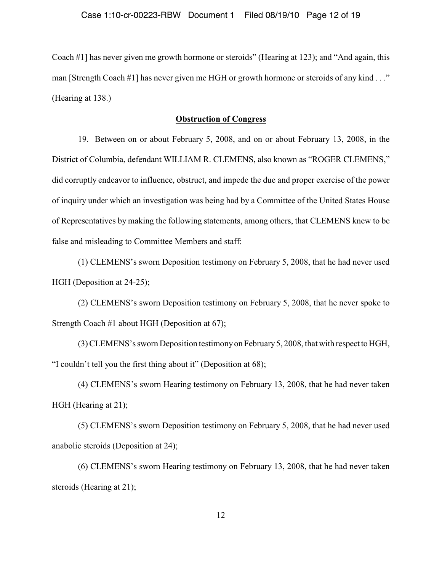Coach #1] has never given me growth hormone or steroids" (Hearing at 123); and "And again, this man [Strength Coach #1] has never given me HGH or growth hormone or steroids of any kind . . ." (Hearing at 138.)

### **Obstruction of Congress**

19. Between on or about February 5, 2008, and on or about February 13, 2008, in the District of Columbia, defendant WILLIAM R. CLEMENS, also known as "ROGER CLEMENS," did corruptly endeavor to influence, obstruct, and impede the due and proper exercise of the power of inquiry under which an investigation was being had by a Committee of the United States House of Representatives by making the following statements, among others, that CLEMENS knew to be false and misleading to Committee Members and staff:

(1) CLEMENS's sworn Deposition testimony on February 5, 2008, that he had never used HGH (Deposition at 24-25);

(2) CLEMENS's sworn Deposition testimony on February 5, 2008, that he never spoke to Strength Coach #1 about HGH (Deposition at 67);

(3) CLEMENS's sworn Deposition testimony on February 5, 2008, that with respect to HGH, "I couldn't tell you the first thing about it" (Deposition at 68);

(4) CLEMENS's sworn Hearing testimony on February 13, 2008, that he had never taken HGH (Hearing at 21);

(5) CLEMENS's sworn Deposition testimony on February 5, 2008, that he had never used anabolic steroids (Deposition at 24);

(6) CLEMENS's sworn Hearing testimony on February 13, 2008, that he had never taken steroids (Hearing at 21);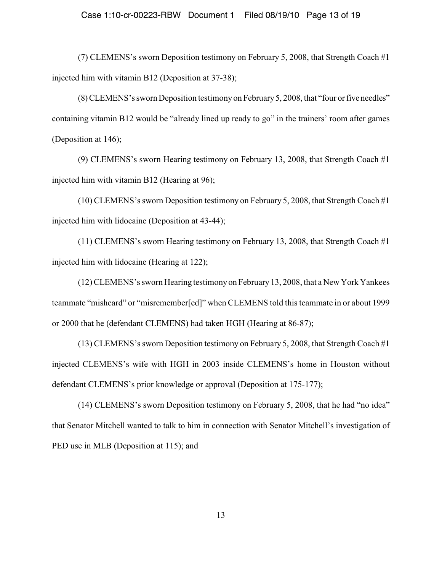#### Case 1:10-cr-00223-RBW Document 1 Filed 08/19/10 Page 13 of 19

(7) CLEMENS's sworn Deposition testimony on February 5, 2008, that Strength Coach #1 injected him with vitamin B12 (Deposition at 37-38);

(8) CLEMENS's sworn Deposition testimony on February 5, 2008, that "four or five needles" containing vitamin B12 would be "already lined up ready to go" in the trainers' room after games (Deposition at 146);

(9) CLEMENS's sworn Hearing testimony on February 13, 2008, that Strength Coach #1 injected him with vitamin B12 (Hearing at 96);

(10) CLEMENS's sworn Deposition testimony on February 5, 2008, that Strength Coach #1 injected him with lidocaine (Deposition at 43-44);

(11) CLEMENS's sworn Hearing testimony on February 13, 2008, that Strength Coach #1 injected him with lidocaine (Hearing at 122);

(12) CLEMENS's sworn Hearing testimonyon February 13, 2008, that a New York Yankees teammate "misheard" or "misremember[ed]" when CLEMENS told this teammate in or about 1999 or 2000 that he (defendant CLEMENS) had taken HGH (Hearing at 86-87);

(13) CLEMENS's sworn Deposition testimony on February 5, 2008, that Strength Coach #1 injected CLEMENS's wife with HGH in 2003 inside CLEMENS's home in Houston without defendant CLEMENS's prior knowledge or approval (Deposition at 175-177);

(14) CLEMENS's sworn Deposition testimony on February 5, 2008, that he had "no idea" that Senator Mitchell wanted to talk to him in connection with Senator Mitchell's investigation of PED use in MLB (Deposition at 115); and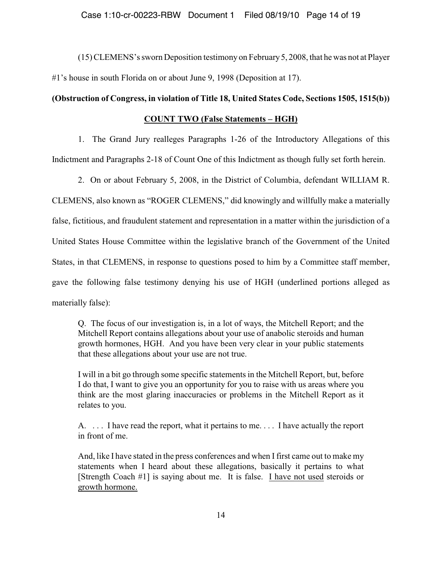(15) CLEMENS's sworn Deposition testimony on February 5, 2008, that he was not at Player #1's house in south Florida on or about June 9, 1998 (Deposition at 17).

### **(Obstruction of Congress, in violation of Title 18, United States Code, Sections 1505, 1515(b))**

### **COUNT TWO (False Statements – HGH)**

1. The Grand Jury realleges Paragraphs 1-26 of the Introductory Allegations of this

Indictment and Paragraphs 2-18 of Count One of this Indictment as though fully set forth herein.

2. On or about February 5, 2008, in the District of Columbia, defendant WILLIAM R.

CLEMENS, also known as "ROGER CLEMENS," did knowingly and willfully make a materially false, fictitious, and fraudulent statement and representation in a matter within the jurisdiction of a United States House Committee within the legislative branch of the Government of the United States, in that CLEMENS, in response to questions posed to him by a Committee staff member, gave the following false testimony denying his use of HGH (underlined portions alleged as materially false):

Q. The focus of our investigation is, in a lot of ways, the Mitchell Report; and the Mitchell Report contains allegations about your use of anabolic steroids and human growth hormones, HGH. And you have been very clear in your public statements that these allegations about your use are not true.

I will in a bit go through some specific statements in the Mitchell Report, but, before I do that, I want to give you an opportunity for you to raise with us areas where you think are the most glaring inaccuracies or problems in the Mitchell Report as it relates to you.

A. . . . I have read the report, what it pertains to me. . . . I have actually the report in front of me.

And, like I have stated in the press conferences and when I first came out to make my statements when I heard about these allegations, basically it pertains to what [Strength Coach #1] is saying about me. It is false. I have not used steroids or growth hormone.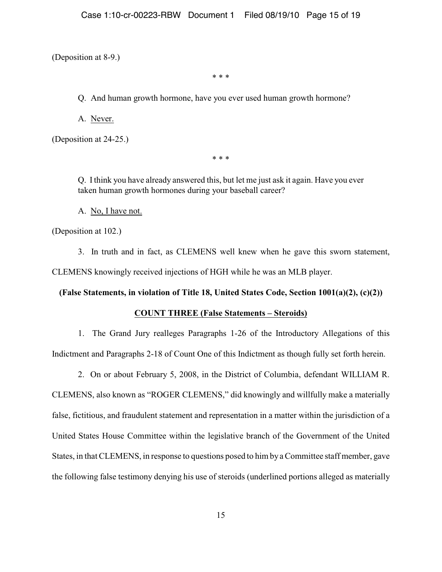(Deposition at 8-9.)

\* \* \*

Q. And human growth hormone, have you ever used human growth hormone?

A. Never.

(Deposition at 24-25.)

\* \* \*

Q. I think you have already answered this, but let me just ask it again. Have you ever taken human growth hormones during your baseball career?

A. No, I have not.

(Deposition at 102.)

3. In truth and in fact, as CLEMENS well knew when he gave this sworn statement, CLEMENS knowingly received injections of HGH while he was an MLB player.

### **(False Statements, in violation of Title 18, United States Code, Section 1001(a)(2), (c)(2))**

### **COUNT THREE (False Statements – Steroids)**

1. The Grand Jury realleges Paragraphs 1-26 of the Introductory Allegations of this Indictment and Paragraphs 2-18 of Count One of this Indictment as though fully set forth herein.

2. On or about February 5, 2008, in the District of Columbia, defendant WILLIAM R.

CLEMENS, also known as "ROGER CLEMENS," did knowingly and willfully make a materially false, fictitious, and fraudulent statement and representation in a matter within the jurisdiction of a United States House Committee within the legislative branch of the Government of the United States, in that CLEMENS, in response to questions posed to him by a Committee staff member, gave the following false testimony denying his use of steroids (underlined portions alleged as materially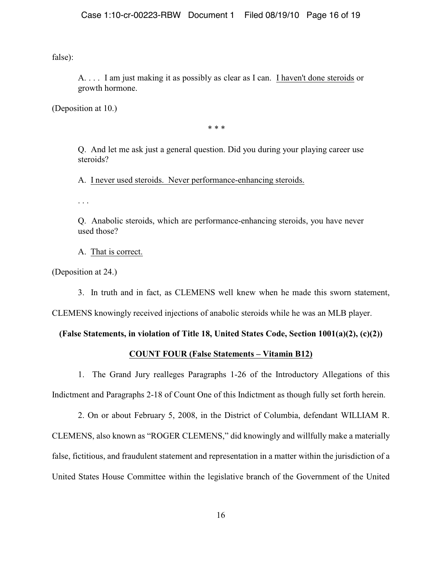false):

A. . . . I am just making it as possibly as clear as I can. I haven't done steroids or growth hormone.

(Deposition at 10.)

\* \* \*

Q. And let me ask just a general question. Did you during your playing career use steroids?

A. I never used steroids. Never performance-enhancing steroids.

. . .

Q. Anabolic steroids, which are performance-enhancing steroids, you have never used those?

A. That is correct.

(Deposition at 24.)

3. In truth and in fact, as CLEMENS well knew when he made this sworn statement,

CLEMENS knowingly received injections of anabolic steroids while he was an MLB player.

### **(False Statements, in violation of Title 18, United States Code, Section 1001(a)(2), (c)(2))**

### **COUNT FOUR (False Statements – Vitamin B12)**

1. The Grand Jury realleges Paragraphs 1-26 of the Introductory Allegations of this Indictment and Paragraphs 2-18 of Count One of this Indictment as though fully set forth herein.

2. On or about February 5, 2008, in the District of Columbia, defendant WILLIAM R. CLEMENS, also known as "ROGER CLEMENS," did knowingly and willfully make a materially false, fictitious, and fraudulent statement and representation in a matter within the jurisdiction of a United States House Committee within the legislative branch of the Government of the United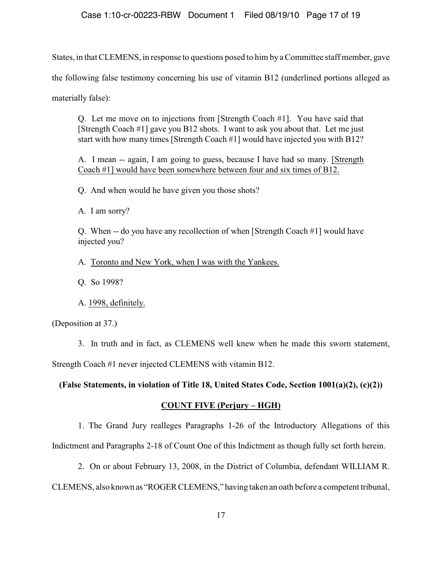States, in that CLEMENS, in response to questions posed to him by a Committee staff member, gave the following false testimony concerning his use of vitamin B12 (underlined portions alleged as materially false):

Q. Let me move on to injections from [Strength Coach #1]. You have said that [Strength Coach #1] gave you B12 shots. I want to ask you about that. Let me just start with how many times [Strength Coach #1] would have injected you with B12?

A. I mean -- again, I am going to guess, because I have had so many. [Strength Coach #1] would have been somewhere between four and six times of B12.

Q. And when would he have given you those shots?

A. I am sorry?

Q. When -- do you have any recollection of when [Strength Coach #1] would have injected you?

A. Toronto and New York, when I was with the Yankees.

Q. So 1998?

A. 1998, definitely.

(Deposition at 37.)

3. In truth and in fact, as CLEMENS well knew when he made this sworn statement, Strength Coach #1 never injected CLEMENS with vitamin B12.

**(False Statements, in violation of Title 18, United States Code, Section 1001(a)(2), (c)(2))**

### **COUNT FIVE (Perjury – HGH)**

1. The Grand Jury realleges Paragraphs 1-26 of the Introductory Allegations of this

Indictment and Paragraphs 2-18 of Count One of this Indictment as though fully set forth herein.

2. On or about February 13, 2008, in the District of Columbia, defendant WILLIAM R.

CLEMENS, also known as "ROGER CLEMENS," having taken an oath before a competent tribunal,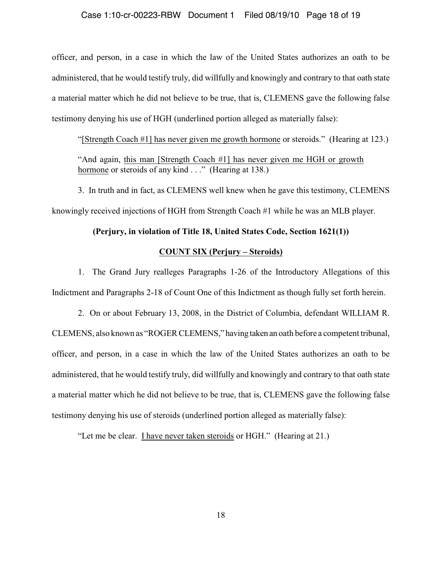#### Case 1:10-cr-00223-RBW Document 1 Filed 08/19/10 Page 18 of 19

officer, and person, in a case in which the law of the United States authorizes an oath to be administered, that he would testify truly, did willfully and knowingly and contrary to that oath state a material matter which he did not believe to be true, that is, CLEMENS gave the following false testimony denying his use of HGH (underlined portion alleged as materially false):

"[Strength Coach #1] has never given me growth hormone or steroids." (Hearing at 123.) "And again, this man [Strength Coach #1] has never given me HGH or growth hormone or steroids of any kind . . ." (Hearing at 138.)

3. In truth and in fact, as CLEMENS well knew when he gave this testimony, CLEMENS knowingly received injections of HGH from Strength Coach #1 while he was an MLB player.

#### **(Perjury, in violation of Title 18, United States Code, Section 1621(1))**

#### **COUNT SIX (Perjury – Steroids)**

1. The Grand Jury realleges Paragraphs 1-26 of the Introductory Allegations of this Indictment and Paragraphs 2-18 of Count One of this Indictment as though fully set forth herein.

2. On or about February 13, 2008, in the District of Columbia, defendant WILLIAM R. CLEMENS, also known as "ROGER CLEMENS," having taken an oath before a competent tribunal, officer, and person, in a case in which the law of the United States authorizes an oath to be administered, that he would testify truly, did willfully and knowingly and contrary to that oath state a material matter which he did not believe to be true, that is, CLEMENS gave the following false testimony denying his use of steroids (underlined portion alleged as materially false):

"Let me be clear. I have never taken steroids or HGH." (Hearing at 21.)